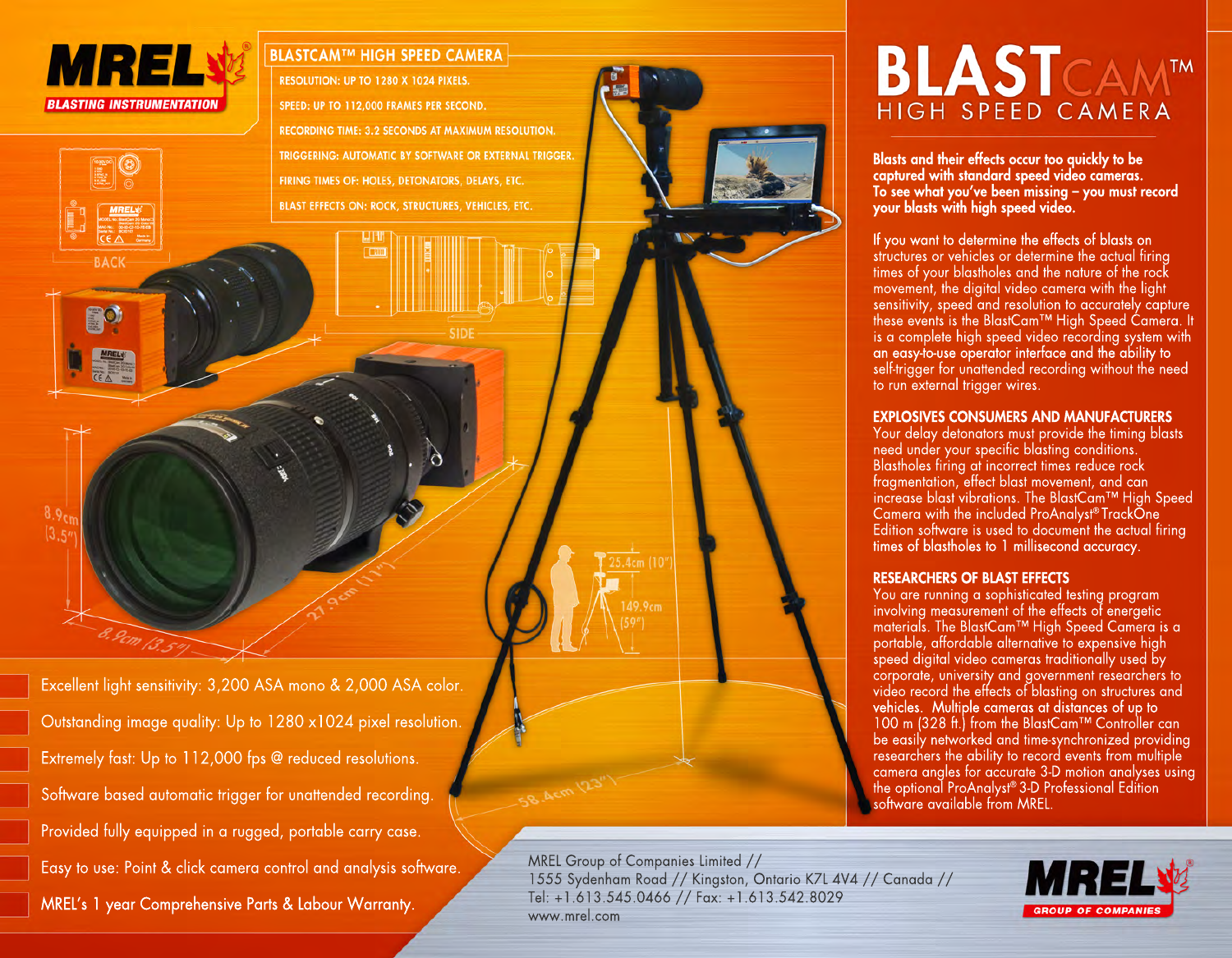

Excellent light sensitivity: 3,200 ASA mono & 2,000 ASA color. Outstanding image quality: Up to 1280 x1024 pixel resolution. Extremely fast: Up to 112,000 fps @ reduced resolutions. Software based automatic trigger for unattended recording. Provided fully equipped in a rugged, portable carry case. Easy to use: Point & click camera control and analysis software. MREL's 1 year Comprehensive Parts & Labour Warranty.

Pcm 13.5



Blasts and their effects occur too quickly to be captured with standard speed video cameras. To see what you've been missing – you must record

BLASTCAM<sup>TM</sup>

If you want to determine the effects of blasts on structures or vehicles or determine the actual firing times of your blastholes and the nature of the rock movement, the digital video camera with the light

your blasts with high speed video.

MREL Group of Companies Limited // 1555 Sydenham Road // Kingston, Ontario K7L 4V4 // Canada // Tel: +1.613.545.0466 // Fax: +1.613.542.8029 www.mrel.com